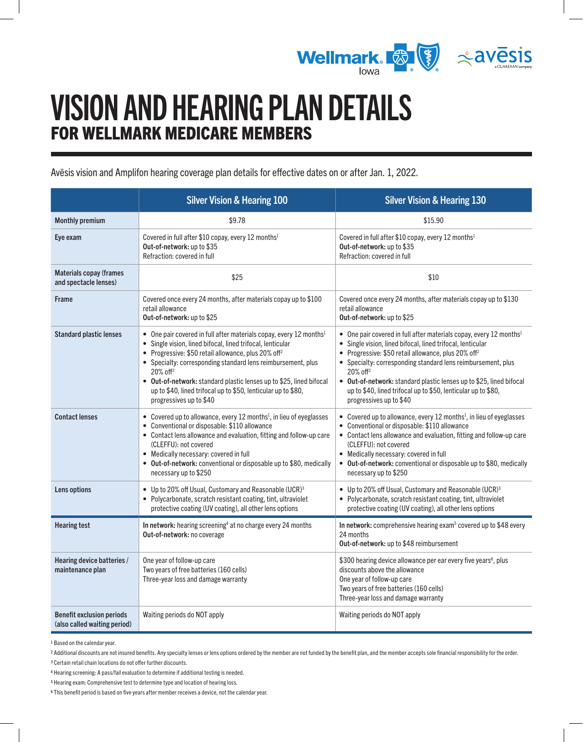

# VISION AND HEARING PLAN DETAILS FOR WELLMARK MEDICARE MEMBERS

Avēsis vision and Amplifon hearing coverage plan details for effective dates on or after Jan. 1, 2022.

|                                                                  | <b>Silver Vision &amp; Hearing 100</b>                                                                                                                                                                                                                                                                                                                                                                                                                                        | <b>Silver Vision &amp; Hearing 130</b>                                                                                                                                                                                                                                                                                                                                                                                                                                        |
|------------------------------------------------------------------|-------------------------------------------------------------------------------------------------------------------------------------------------------------------------------------------------------------------------------------------------------------------------------------------------------------------------------------------------------------------------------------------------------------------------------------------------------------------------------|-------------------------------------------------------------------------------------------------------------------------------------------------------------------------------------------------------------------------------------------------------------------------------------------------------------------------------------------------------------------------------------------------------------------------------------------------------------------------------|
| <b>Monthly premium</b>                                           | \$9.78                                                                                                                                                                                                                                                                                                                                                                                                                                                                        | \$15.90                                                                                                                                                                                                                                                                                                                                                                                                                                                                       |
| Eye exam                                                         | Covered in full after \$10 copay, every 12 months <sup>1</sup><br>Out-of-network: up to \$35<br>Refraction: covered in full                                                                                                                                                                                                                                                                                                                                                   | Covered in full after \$10 copay, every 12 months <sup>1</sup><br>Out-of-network: up to \$35<br>Refraction: covered in full                                                                                                                                                                                                                                                                                                                                                   |
| <b>Materials copay (frames</b><br>and spectacle lenses)          | \$25                                                                                                                                                                                                                                                                                                                                                                                                                                                                          | \$10                                                                                                                                                                                                                                                                                                                                                                                                                                                                          |
| <b>Frame</b>                                                     | Covered once every 24 months, after materials copay up to \$100<br>retail allowance<br>Out-of-network: up to \$25                                                                                                                                                                                                                                                                                                                                                             | Covered once every 24 months, after materials copay up to \$130<br>retail allowance<br>Out-of-network: up to \$25                                                                                                                                                                                                                                                                                                                                                             |
| <b>Standard plastic lenses</b>                                   | • One pair covered in full after materials copay, every 12 months <sup>1</sup><br>• Single vision, lined bifocal, lined trifocal, lenticular<br>• Progressive: \$50 retail allowance, plus 20% off <sup>2</sup><br>• Specialty: corresponding standard lens reimbursement, plus<br>$20\%$ off <sup>2</sup><br>• Out-of-network: standard plastic lenses up to \$25, lined bifocal<br>up to \$40, lined trifocal up to \$50, lenticular up to \$80,<br>progressives up to \$40 | • One pair covered in full after materials copay, every 12 months <sup>1</sup><br>• Single vision, lined bifocal, lined trifocal, lenticular<br>• Progressive: \$50 retail allowance, plus 20% off <sup>2</sup><br>• Specialty: corresponding standard lens reimbursement, plus<br>$20\%$ off <sup>2</sup><br>• Out-of-network: standard plastic lenses up to \$25, lined bifocal<br>up to \$40, lined trifocal up to \$50, lenticular up to \$80,<br>progressives up to \$40 |
| <b>Contact lenses</b>                                            | • Covered up to allowance, every 12 months <sup>1</sup> , in lieu of eyeglasses<br>• Conventional or disposable: \$110 allowance<br>• Contact lens allowance and evaluation, fitting and follow-up care<br>(CLEFFU): not covered<br>• Medically necessary: covered in full<br>• Out-of-network: conventional or disposable up to \$80, medically<br>necessary up to \$250                                                                                                     | • Covered up to allowance, every 12 months <sup>1</sup> , in lieu of eyeglasses<br>• Conventional or disposable: \$110 allowance<br>• Contact lens allowance and evaluation, fitting and follow-up care<br>(CLEFFU): not covered<br>• Medically necessary: covered in full<br>• Out-of-network: conventional or disposable up to \$80, medically<br>necessary up to \$250                                                                                                     |
| Lens options                                                     | • Up to 20% off Usual, Customary and Reasonable (UCR) <sup>3</sup><br>• Polycarbonate, scratch resistant coating, tint, ultraviolet<br>protective coating (UV coating), all other lens options                                                                                                                                                                                                                                                                                | • Up to 20% off Usual, Customary and Reasonable (UCR) <sup>3</sup><br>• Polycarbonate, scratch resistant coating, tint, ultraviolet<br>protective coating (UV coating), all other lens options                                                                                                                                                                                                                                                                                |
| <b>Hearing test</b>                                              | In network: hearing screening <sup>4</sup> at no charge every 24 months<br>Out-of-network: no coverage                                                                                                                                                                                                                                                                                                                                                                        | In network: comprehensive hearing exam <sup>5</sup> covered up to \$48 every<br>24 months<br><b>Out-of-network: up to \$48 reimbursement</b>                                                                                                                                                                                                                                                                                                                                  |
| Hearing device batteries /<br>maintenance plan                   | One year of follow-up care<br>Two years of free batteries (160 cells)<br>Three-year loss and damage warranty                                                                                                                                                                                                                                                                                                                                                                  | \$300 hearing device allowance per ear every five years <sup>6</sup> , plus<br>discounts above the allowance<br>One year of follow-up care<br>Two years of free batteries (160 cells)<br>Three-year loss and damage warranty                                                                                                                                                                                                                                                  |
| <b>Benefit exclusion periods</b><br>(also called waiting period) | Waiting periods do NOT apply                                                                                                                                                                                                                                                                                                                                                                                                                                                  | Waiting periods do NOT apply                                                                                                                                                                                                                                                                                                                                                                                                                                                  |

<span id="page-0-0"></span>1 Based on the calendar year.

<span id="page-0-2"></span>3 Certain retail chain locations do not offer further discounts.

<span id="page-0-5"></span>6 This benefit period is based on five years after member receives a device, not the calendar year.

<span id="page-0-1"></span><sup>2</sup> Additional discounts are not insured benefits. Any specialty lenses or lens options ordered by the member are not funded by the benefit plan, and the member accepts sole financial responsibility for the order.

<span id="page-0-3"></span><sup>4</sup> Hearing screening: A pass/fail evaluation to determine if additional testing is needed.

<span id="page-0-4"></span><sup>5</sup> Hearing exam: Comprehensive test to determine type and location of hearing loss.